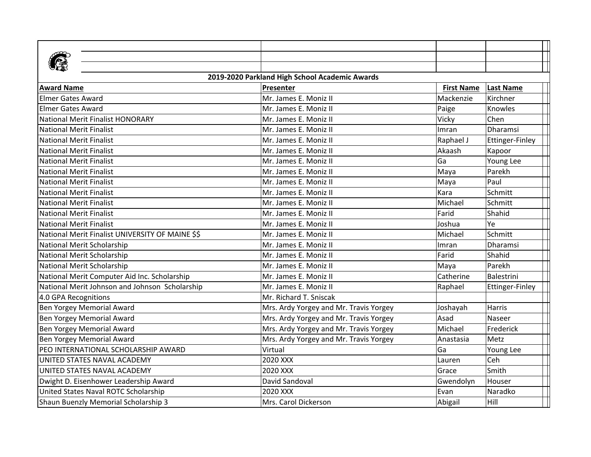| 2019-2020 Parkland High School Academic Awards   |                                        |                   |                  |  |  |  |
|--------------------------------------------------|----------------------------------------|-------------------|------------------|--|--|--|
| <b>Award Name</b>                                | Presenter                              | <b>First Name</b> | <b>Last Name</b> |  |  |  |
| <b>Elmer Gates Award</b>                         | Mr. James E. Moniz II                  | Mackenzie         | Kirchner         |  |  |  |
| <b>Elmer Gates Award</b>                         | Mr. James E. Moniz II                  | Paige             | Knowles          |  |  |  |
| <b>National Merit Finalist HONORARY</b>          | Mr. James E. Moniz II                  | Vicky             | Chen             |  |  |  |
| <b>National Merit Finalist</b>                   | Mr. James E. Moniz II                  | Imran             | <b>Dharamsi</b>  |  |  |  |
| <b>National Merit Finalist</b>                   | Mr. James E. Moniz II                  | Raphael J         | Ettinger-Finley  |  |  |  |
| <b>National Merit Finalist</b>                   | Mr. James E. Moniz II                  | Akaash            | Kapoor           |  |  |  |
| <b>National Merit Finalist</b>                   | Mr. James E. Moniz II                  | Ga                | Young Lee        |  |  |  |
| <b>National Merit Finalist</b>                   | Mr. James E. Moniz II                  | Maya              | Parekh           |  |  |  |
| <b>National Merit Finalist</b>                   | Mr. James E. Moniz II                  | Maya              | Paul             |  |  |  |
| <b>National Merit Finalist</b>                   | Mr. James E. Moniz II                  | Kara              | Schmitt          |  |  |  |
| <b>National Merit Finalist</b>                   | Mr. James E. Moniz II                  | Michael           | Schmitt          |  |  |  |
| <b>National Merit Finalist</b>                   | Mr. James E. Moniz II                  | Farid             | Shahid           |  |  |  |
| <b>National Merit Finalist</b>                   | Mr. James E. Moniz II                  | Joshua            | Ye               |  |  |  |
| National Merit Finalist UNIVERSITY OF MAINE \$\$ | Mr. James E. Moniz II                  | Michael           | Schmitt          |  |  |  |
| National Merit Scholarship                       | Mr. James E. Moniz II                  | Imran             | Dharamsi         |  |  |  |
| National Merit Scholarship                       | Mr. James E. Moniz II                  | Farid             | Shahid           |  |  |  |
| National Merit Scholarship                       | Mr. James E. Moniz II                  | Maya              | Parekh           |  |  |  |
| National Merit Computer Aid Inc. Scholarship     | Mr. James E. Moniz II                  | Catherine         | Balestrini       |  |  |  |
| National Merit Johnson and Johnson Scholarship   | Mr. James E. Moniz II                  | Raphael           | Ettinger-Finley  |  |  |  |
| 4.0 GPA Recognitions                             | Mr. Richard T. Sniscak                 |                   |                  |  |  |  |
| Ben Yorgey Memorial Award                        | Mrs. Ardy Yorgey and Mr. Travis Yorgey | Joshayah          | <b>Harris</b>    |  |  |  |
| Ben Yorgey Memorial Award                        | Mrs. Ardy Yorgey and Mr. Travis Yorgey | Asad              | Naseer           |  |  |  |
| Ben Yorgey Memorial Award                        | Mrs. Ardy Yorgey and Mr. Travis Yorgey | Michael           | Frederick        |  |  |  |
| Ben Yorgey Memorial Award                        | Mrs. Ardy Yorgey and Mr. Travis Yorgey | Anastasia         | Metz             |  |  |  |
| PEO INTERNATIONAL SCHOLARSHIP AWARD              | Virtual                                | Ga                | Young Lee        |  |  |  |
| UNITED STATES NAVAL ACADEMY                      | 2020 XXX                               | Lauren            | Ceh              |  |  |  |
| UNITED STATES NAVAL ACADEMY                      | 2020 XXX                               | Grace             | Smith            |  |  |  |
| Dwight D. Eisenhower Leadership Award            | David Sandoval                         | Gwendolyn         | Houser           |  |  |  |
| United States Naval ROTC Scholarship             | 2020 XXX                               | Evan              | Naradko          |  |  |  |
| Shaun Buenzly Memorial Scholarship 3             | Mrs. Carol Dickerson                   | Abigail           | Hill             |  |  |  |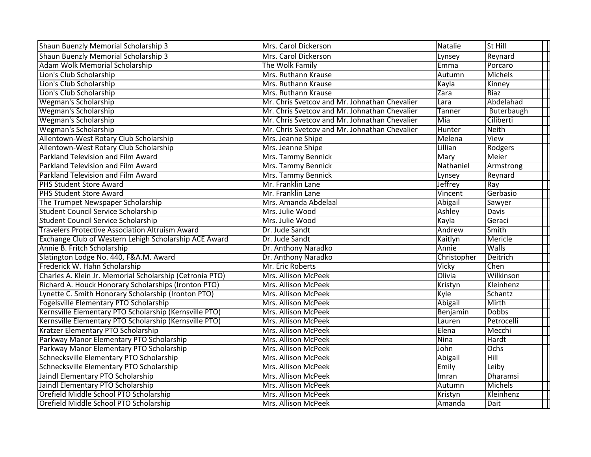| Shaun Buenzly Memorial Scholarship 3                     | Mrs. Carol Dickerson                          | Natalie        | St Hill         |
|----------------------------------------------------------|-----------------------------------------------|----------------|-----------------|
| Shaun Buenzly Memorial Scholarship 3                     | Mrs. Carol Dickerson                          | Lynsey         | Reynard         |
| Adam Wolk Memorial Scholarship                           | The Wolk Family                               | Emma           | Porcaro         |
| Lion's Club Scholarship                                  | Mrs. Ruthann Krause                           | Autumn         | <b>Michels</b>  |
| Lion's Club Scholarship                                  | Mrs. Ruthann Krause                           | Kayla          | Kinney          |
| Lion's Club Scholarship                                  | Mrs. Ruthann Krause                           | Zara           | Riaz            |
| <b>Wegman's Scholarship</b>                              | Mr. Chris Svetcov and Mr. Johnathan Chevalier | Lara           | Abdelahad       |
| <b>Wegman's Scholarship</b>                              | Mr. Chris Svetcov and Mr. Johnathan Chevalier | Tanner         | Buterbaugh      |
| <b>Wegman's Scholarship</b>                              | Mr. Chris Svetcov and Mr. Johnathan Chevalier | Mia            | Ciliberti       |
| <b>Wegman's Scholarship</b>                              | Mr. Chris Svetcov and Mr. Johnathan Chevalier | Hunter         | <b>Neith</b>    |
| Allentown-West Rotary Club Scholarship                   | Mrs. Jeanne Shipe                             | Melena         | View            |
| Allentown-West Rotary Club Scholarship                   | Mrs. Jeanne Shipe                             | Lillian        | Rodgers         |
| Parkland Television and Film Award                       | Mrs. Tammy Bennick                            | Mary           | Meier           |
| Parkland Television and Film Award                       | Mrs. Tammy Bennick                            | Nathaniel      | Armstrong       |
| Parkland Television and Film Award                       | Mrs. Tammy Bennick                            | Lynsey         | Reynard         |
| <b>PHS Student Store Award</b>                           | Mr. Franklin Lane                             | Jeffrey        | Ray             |
| <b>PHS Student Store Award</b>                           | Mr. Franklin Lane                             | Vincent        | Gerbasio        |
| The Trumpet Newspaper Scholarship                        | Mrs. Amanda Abdelaal                          | <b>Abigail</b> | Sawyer          |
| <b>Student Council Service Scholarship</b>               | Mrs. Julie Wood                               | Ashley         | Davis           |
| <b>Student Council Service Scholarship</b>               | Mrs. Julie Wood                               | Kayla          | Geraci          |
| <b>Travelers Protective Association Altruism Award</b>   | Dr. Jude Sandt                                | Andrew         | Smith           |
| Exchange Club of Western Lehigh Scholarship ACE Award    | Dr. Jude Sandt                                | Kaitlyn        | Mericle         |
| Annie B. Fritch Scholarship                              | Dr. Anthony Naradko                           | Annie          | Walls           |
| Slatington Lodge No. 440, F&A.M. Award                   | Dr. Anthony Naradko                           | Christopher    | Deitrich        |
| Frederick W. Hahn Scholarship                            | Mr. Eric Roberts                              | Vicky          | Chen            |
| Charles A. Klein Jr. Memorial Scholarship (Cetronia PTO) | Mrs. Allison McPeek                           | Olivia         | Wilkinson       |
| Richard A. Houck Honorary Scholarships (Ironton PTO)     | Mrs. Allison McPeek                           | Kristyn        | Kleinhenz       |
| Lynette C. Smith Honorary Scholarship (Ironton PTO)      | Mrs. Allison McPeek                           | Kyle           | Schantz         |
| Fogelsville Elementary PTO Scholarship                   | Mrs. Allison McPeek                           | Abigail        | Mirth           |
| Kernsville Elementary PTO Scholarship (Kernsville PTO)   | Mrs. Allison McPeek                           | Benjamin       | <b>Dobbs</b>    |
| Kernsville Elementary PTO Scholarship (Kernsville PTO)   | <b>Mrs. Allison McPeek</b>                    | Lauren         | Petrocelli      |
| Kratzer Elementary PTO Scholarship                       | Mrs. Allison McPeek                           | Elena          | Mecchi          |
| Parkway Manor Elementary PTO Scholarship                 | Mrs. Allison McPeek                           | $N$ ina        | Hardt           |
| Parkway Manor Elementary PTO Scholarship                 | <b>Mrs. Allison McPeek</b>                    | John           | Ochs            |
| Schnecksville Elementary PTO Scholarship                 | Mrs. Allison McPeek                           | <b>Abigail</b> | Hill            |
| Schnecksville Elementary PTO Scholarship                 | Mrs. Allison McPeek                           | Emily          | Leiby           |
| Jaindl Elementary PTO Scholarship                        | Mrs. Allison McPeek                           | Imran          | <b>Dharamsi</b> |
| Jaindl Elementary PTO Scholarship                        | Mrs. Allison McPeek                           | Autumn         | Michels         |
| Orefield Middle School PTO Scholarship                   | <b>Mrs. Allison McPeek</b>                    | Kristyn        | Kleinhenz       |
| Orefield Middle School PTO Scholarship                   | Mrs. Allison McPeek                           | Amanda         | Dait            |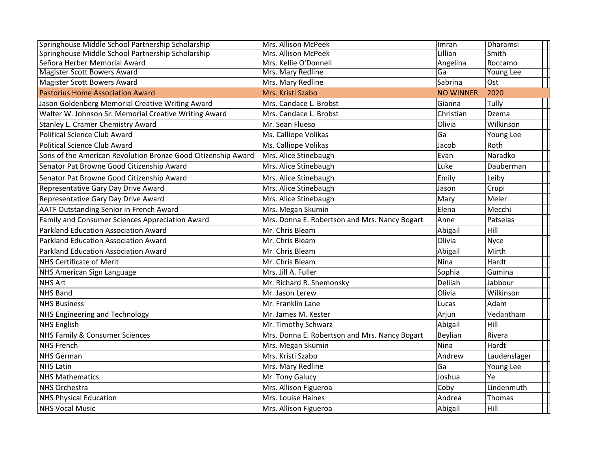| Springhouse Middle School Partnership Scholarship             | Mrs. Allison McPeek                           | Imran            | Dharamsi         |
|---------------------------------------------------------------|-----------------------------------------------|------------------|------------------|
| Springhouse Middle School Partnership Scholarship             | Mrs. Allison McPeek                           | Lillian          | Smith            |
| Señora Herber Memorial Award                                  | Mrs. Kellie O'Donnell                         | Angelina         | Roccamo          |
| <b>Magister Scott Bowers Award</b>                            | Mrs. Mary Redline                             | Ga               | <b>Young Lee</b> |
| <b>Magister Scott Bowers Award</b>                            | Mrs. Mary Redline                             | Sabrina          | Ost              |
| <b>Pastorius Home Association Award</b>                       | Mrs. Kristi Szabo                             | <b>NO WINNER</b> | 2020             |
| Jason Goldenberg Memorial Creative Writing Award              | Mrs. Candace L. Brobst                        | Gianna           | Tully            |
| Walter W. Johnson Sr. Memorial Creative Writing Award         | Mrs. Candace L. Brobst                        | Christian        | Dzema            |
| Stanley L. Cramer Chemistry Award                             | Mr. Sean Flueso                               | Olivia           | Wilkinson        |
| Political Science Club Award                                  | Ms. Calliope Volikas                          | Ga               | Young Lee        |
| <b>Political Science Club Award</b>                           | Ms. Calliope Volikas                          | Jacob            | Roth             |
| Sons of the American Revolution Bronze Good Citizenship Award | Mrs. Alice Stinebaugh                         | Evan             | Naradko          |
| Senator Pat Browne Good Citizenship Award                     | Mrs. Alice Stinebaugh                         | Luke             | Dauberman        |
| Senator Pat Browne Good Citizenship Award                     | Mrs. Alice Stinebaugh                         | Emily            | Leiby            |
| Representative Gary Day Drive Award                           | Mrs. Alice Stinebaugh                         | Jason            | Crupi            |
| Representative Gary Day Drive Award                           | Mrs. Alice Stinebaugh                         | Mary             | Meier            |
| <b>AATF Outstanding Senior in French Award</b>                | Mrs. Megan Skumin                             | Elena            | Mecchi           |
| Family and Consumer Sciences Appreciation Award               | Mrs. Donna E. Robertson and Mrs. Nancy Bogart | Anne             | Patselas         |
| Parkland Education Association Award                          | Mr. Chris Bleam                               | Abigail          | Hill             |
| Parkland Education Association Award                          | Mr. Chris Bleam                               | Olivia           | <b>Nyce</b>      |
| <b>Parkland Education Association Award</b>                   | Mr. Chris Bleam                               | Abigail          | Mirth            |
| <b>NHS Certificate of Merit</b>                               | Mr. Chris Bleam                               | Nina             | Hardt            |
| NHS American Sign Language                                    | Mrs. Jill A. Fuller                           | Sophia           | Gumina           |
| <b>NHS Art</b>                                                | Mr. Richard R. Shemonsky                      | Delilah          | Jabbour          |
| <b>NHS Band</b>                                               | Mr. Jason Lerew                               | Olivia           | Wilkinson        |
| <b>NHS Business</b>                                           | Mr. Franklin Lane                             | Lucas            | Adam             |
| <b>NHS Engineering and Technology</b>                         | Mr. James M. Kester                           | Arjun            | Vedantham        |
| <b>NHS English</b>                                            | Mr. Timothy Schwarz                           | Abigail          | Hill             |
| <b>NHS Family &amp; Consumer Sciences</b>                     | Mrs. Donna E. Robertson and Mrs. Nancy Bogart | Beylian          | Rivera           |
| <b>NHS French</b>                                             | Mrs. Megan Skumin                             | Nina             | Hardt            |
| <b>NHS German</b>                                             | Mrs. Kristi Szabo                             | Andrew           | Laudenslager     |
| <b>NHS Latin</b>                                              | Mrs. Mary Redline                             | Ga               | Young Lee        |
| <b>NHS Mathematics</b>                                        | Mr. Tony Galucy                               | Joshua           | Ye               |
| <b>NHS Orchestra</b>                                          | Mrs. Allison Figueroa                         | Coby             | Lindenmuth       |
| <b>NHS Physical Education</b>                                 | Mrs. Louise Haines                            | Andrea           | Thomas           |
| <b>NHS Vocal Music</b>                                        | Mrs. Allison Figueroa                         | Abigail          | Hill             |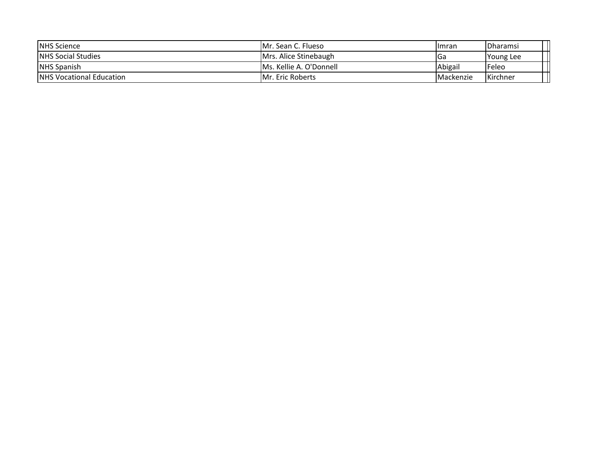| <b>INHS Science</b>              | IMr. Sean C. Flueso      | l Imran           | <i><b>IDharamsi</b></i> |
|----------------------------------|--------------------------|-------------------|-------------------------|
| <b>NHS Social Studies</b>        | Mrs. Alice Stinebaugh    | lGa               | <b>Young Lee</b>        |
| <b>NHS Spanish</b>               | Ms. Kellie A. O'Donnell  | Abigail           | 'Feleo                  |
| <b>INHS Vocational Education</b> | <b>IMr. Eric Roberts</b> | <i>IMackenzie</i> | <b>Kirchner</b>         |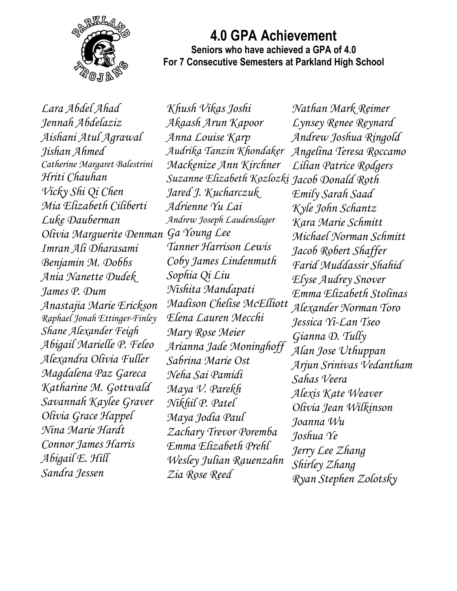

## **4.0 GPA Achievement Seniors who have achieved a GPA of 4.0 For 7 Consecutive Semesters at Parkland High School**

*Lara Abdel Ahad Jennah Abdelaziz Aishani Atul Agrawal Jishan Ahmed Catherine Margaret Balestrini Hriti Chauhan Vicky Shi Qi Chen Mia Elizabeth Ciliberti Luke Dauberman Olivia Marguerite Denman Ga Young Lee Imran Ali Dharasami Benjamin M. Dobbs Ania Nanette Dudek James P. Dum Anastajia Marie Erickson Raphael Jonah Ettinger-Finley Shane Alexander Feigh Abigail Marielle P. Feleo Alexandra Olivia Fuller Magdalena Paz Gareca Katharine M. Gottwald Savannah Kaylee Graver Olivia Grace Happel Nina Marie Hardt Connor James Harris Abigail E. Hill Sandra Jessen*

*Khush Vikas Joshi Akaash Arun Kapoor Anna Louise Karp Audrika Tanzin Khondaker Mackenize Ann Kirchner Suzanne Elizabeth Kozlozki Jacob Donald Roth Jared J. Kucharczuk Adrienne Yu Lai Andrew Joseph Laudenslager Tanner Harrison Lewis Coby James Lindenmuth Sophia Qi Liu Nishita Mandapati Madison Chelise McElliott Alexander Norman Toro Elena Lauren Mecchi Mary Rose Meier Arianna Jade Moninghoff Sabrina Marie Ost Neha Sai Pamidi Maya V. Parekh Nikhil P. Patel Maya Jodia Paul Zachary Trevor Poremba Emma Elizabeth Prehl Wesley Julian Rauenzahn Zia Rose Reed*

*Nathan Mark Reimer Lynsey Renee Reynard Andrew Joshua Ringold Angelina Teresa Roccamo Lilian Patrice Rodgers Emily Sarah Saad Kyle John Schantz Kara Marie Schmitt Michael Norman Schmitt Jacob Robert Shaffer Farid Muddassir Shahid Elyse Audrey Snover Emma Elizabeth Stolinas Jessica Yi-Lan Tseo Gianna D. Tully Alan Jose Uthuppan Arjun Srinivas Vedantham Sahas Veera Alexis Kate Weaver Olivia Jean Wilkinson Joanna Wu Joshua Ye Jerry Lee Zhang Shirley Zhang Ryan Stephen Zolotsky*